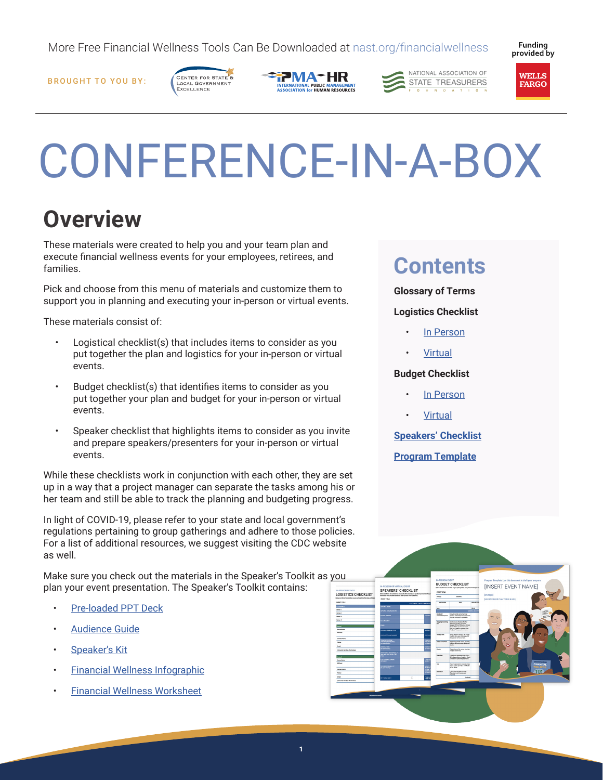More Free Financial Wellness Tools Can Be Downloaded at nast.org/financialwellness

Fundina provided by

BROUGHT TO YOU BY:









# CONFERENCE-IN-A-BOX

## **Overview**

These materials were created to help you and your team plan and execute financial wellness events for your employees, retirees, and families.

Pick and choose from this menu of materials and customize them to support you in planning and executing your in-person or virtual events.

These materials consist of:

- Logistical checklist(s) that includes items to consider as you put together the plan and logistics for your in-person or virtual events.
- Budget checklist(s) that identifies items to consider as you put together your plan and budget for your in-person or virtual events.
- Speaker checklist that highlights items to consider as you invite and prepare speakers/presenters for your in-person or virtual events.

While these checklists work in conjunction with each other, they are set up in a way that a project manager can separate the tasks among his or her team and still be able to track the planning and budgeting progress.

In light of COVID-19, please refer to your state and local government's regulations pertaining to group gatherings and adhere to those policies. For a list of additional resources, we suggest visiting the CDC website as well.

Make sure you check out the materials in the Speaker's Toolkit as you plan your event presentation. The Speaker's Toolkit contains: **IN PERSON EVENTS**<br>LOGISTICS CHECKLIST

- [Pre-loaded PPT Deck](https://nast.org/wp-content/uploads/financialwellness/speakers/deck.pptx)
- [Audience Guide](https://nast.org/wp-content/uploads/financialwellness/speakers/guide.pdf)
- [Speaker's Kit](https://nast.org/wp-content/uploads/financialwellness/speakers/speaker.pdf)
- [Financial Wellness Infographic](https://nast.org/wp-content/uploads/financialwellness/speakers/infographic.pdf)
- [Financial Wellness Worksheet](https://nast.org/wp-content/uploads/financialwellness/speakers/worksheet.pdf)

## **Contents**

**Glossary of Terms**

#### **Logistics Checklist**

- [In Person](https://nast.org/wp-content/uploads/financialwellness/conferences/logistics-inperson.pdf)
- **[Virtual](https://nast.org/wp-content/uploads/financialwellness/conferences/logistics-virtual.pdf)**

#### **Budget Checklist**

- [In Person](https://nast.org/wp-content/uploads/financialwellness/conferences/budget-inperson.pdf)
- **[Virtual](https://nast.org/wp-content/uploads/financialwellness/conferences/budget-virtual.pdf)**

**[Speakers' Checklist](https://nast.org/wp-content/uploads/financialwellness/conferences/checklist.pdf)**

**[Program Template](https://nast.org/wp-content/uploads/financialwellness/conferences/program.pdf)**

**BUDGET CHECKLIST** 

Some verues charge a fee

**IN-PERSON OR VIRTUAL EVENT**<br>SPEAKERS' CHECKLIST

[INSERT EVENT NAME]